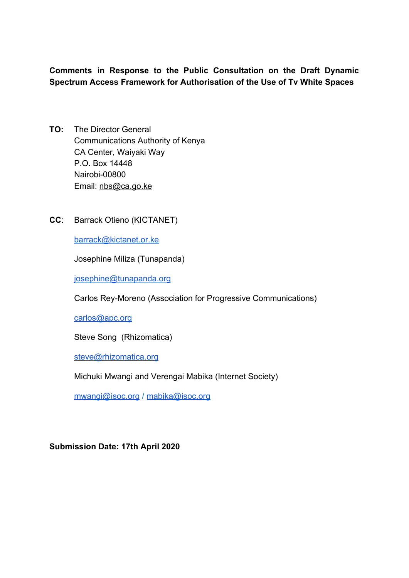**Comments in Response to the Public Consultation on the Draft Dynamic Spectrum Access Framework for Authorisation of the Use of Tv White Spaces**

- **TO:** The Director General Communications Authority of Kenya CA Center, Waiyaki Way P.O. Box 14448 Nairobi-00800 Email: [nbs@ca.go.ke](mailto:nbs@ca.go.ke)
- **CC**: Barrack Otieno (KICTANET)

[barrack@kictanet.or.ke](mailto:barrack@kictanet.or.ke)

Josephine Miliza (Tunapanda)

[josephine@tunapanda.org](mailto:josephine@tunapanda.org)

Carlos Rey-Moreno (Association for Progressive Communications)

[carlos@apc.org](mailto:carlos@apc.org)

Steve Song (Rhizomatica)

[steve@rhizomatica.org](mailto:steve@rhizomatica.org)

Michuki Mwangi and Verengai Mabika (Internet Society)

[mwangi@isoc.org](mailto:mwangi@isoc.org) / [mabika@isoc.org](mailto:mabika@isoc.org)

**Submission Date: 17th April 2020**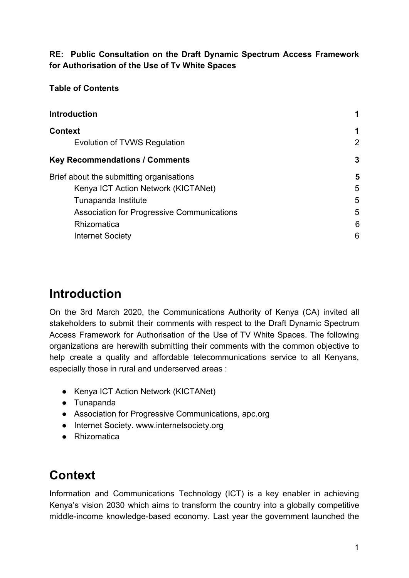## **RE: Public Consultation on the Draft Dynamic Spectrum Access Framework for Authorisation of the Use of Tv White Spaces**

### **Table of Contents**

| <b>Introduction</b>                               |                |
|---------------------------------------------------|----------------|
| <b>Context</b>                                    | 1              |
| Evolution of TVWS Regulation                      | $\overline{2}$ |
| <b>Key Recommendations / Comments</b>             | 3              |
| Brief about the submitting organisations          | 5              |
| Kenya ICT Action Network (KICTANet)               | 5              |
| Tunapanda Institute                               | 5              |
| <b>Association for Progressive Communications</b> | 5              |
| Rhizomatica                                       | 6              |
| <b>Internet Society</b>                           | 6              |
|                                                   |                |

# <span id="page-1-0"></span>**Introduction**

On the 3rd March 2020, the Communications Authority of Kenya (CA) invited all stakeholders to submit their comments with respect to the Draft Dynamic Spectrum Access Framework for Authorisation of the Use of TV White Spaces. The following organizations are herewith submitting their comments with the common objective to help create a quality and affordable telecommunications service to all Kenyans, especially those in rural and underserved areas :

- Kenya ICT Action Network (KICTANet)
- Tunapanda
- Association for Progressive Communications, apc.org
- Internet Society. [www.internetsociety.org](http://www.internetsociety.org/)
- Rhizomatica

# <span id="page-1-1"></span>**Context**

Information and Communications Technology (ICT) is a key enabler in achieving Kenya's vision 2030 which aims to transform the country into a globally competitive middle-income knowledge-based economy. Last year the government launched the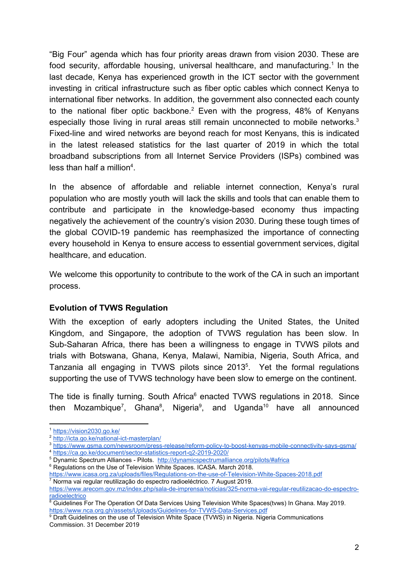"Big Four" agenda which has four priority areas drawn from vision 2030. These are food security, affordable housing, universal healthcare, and manufacturing.<sup>1</sup> In the last decade, Kenya has experienced growth in the ICT sector with the government investing in critical infrastructure such as fiber optic cables which connect Kenya to international fiber networks. In addition, the government also connected each county to the national fiber optic backbone.<sup>2</sup> Even with the progress,  $48\%$  of Kenyans especially those living in rural areas still remain unconnected to mobile networks.<sup>3</sup> Fixed-line and wired networks are beyond reach for most Kenyans, this is indicated in the latest released statistics for the last quarter of 2019 in which the total broadband subscriptions from all Internet Service Providers (ISPs) combined was less than half a million<sup>4</sup>.

In the absence of affordable and reliable internet connection, Kenya's rural population who are mostly youth will lack the skills and tools that can enable them to contribute and participate in the knowledge-based economy thus impacting negatively the achievement of the country's vision 2030. During these tough times of the global COVID-19 pandemic has reemphasized the importance of connecting every household in Kenya to ensure access to essential government services, digital healthcare, and education.

We welcome this opportunity to contribute to the work of the CA in such an important process.

#### <span id="page-2-0"></span>**Evolution of TVWS Regulation**

With the exception of early adopters including the United States, the United Kingdom, and Singapore, the adoption of TVWS regulation has been slow. In Sub-Saharan Africa, there has been a willingness to engage in TVWS pilots and trials with Botswana, Ghana, Kenya, Malawi, Namibia, Nigeria, South Africa, and Tanzania all engaging in TVWS pilots since  $2013^5$ . Yet the formal regulations supporting the use of TVWS technology have been slow to emerge on the continent.

The tide is finally turning. South Africa $6$  enacted TVWS regulations in 2018. Since then Mozambique<sup>7</sup>, Ghana<sup>8</sup>, Nigeria<sup>9</sup>, and Uganda<sup>10</sup> have all announced

<sup>6</sup> Regulations on the Use of Television White Spaces. ICASA. March 2018.

<sup>1</sup> <https://vision2030.go.ke/>

<sup>2</sup> <http://icta.go.ke/national-ict-masterplan/>

<sup>3</sup> <https://www.gsma.com/newsroom/press-release/reform-policy-to-boost-kenyas-mobile-connectivity-says-gsma/> <sup>4</sup> <https://ca.go.ke/document/sector-statistics-report-q2-2019-2020/>

<sup>&</sup>lt;sup>5</sup> Dynamic Spectrum Alliances - Pilots. <http://dynamicspectrumalliance.org/pilots/#africa>

<https://www.icasa.org.za/uploads/files/Regulations-on-the-use-of-Television-White-Spaces-2018.pdf> 7 Norma vai regular reutilização do espectro radioeléctrico. 7 August 2019.

[https://www.arecom.gov.mz/index.php/sala-de-imprensa/noticias/325-norma-vai-regular-reutilizacao-do-espectro](https://www.arecom.gov.mz/index.php/sala-de-imprensa/noticias/325-norma-vai-regular-reutilizacao-do-espectro-radioelectrico)[radioelectrico](https://www.arecom.gov.mz/index.php/sala-de-imprensa/noticias/325-norma-vai-regular-reutilizacao-do-espectro-radioelectrico)

<sup>&</sup>lt;sup>8</sup> Guidelines For The Operation Of Data Services Using Television White Spaces(tvws) In Ghana. May 2019. <https://www.nca.org.gh/assets/Uploads/Guidelines-for-TVWS-Data-Services.pdf>

<sup>&</sup>lt;sup>9</sup> Draft Guidelines on the use of Television White Space (TVWS) in Nigeria. Nigeria Communications Commission. 31 December 2019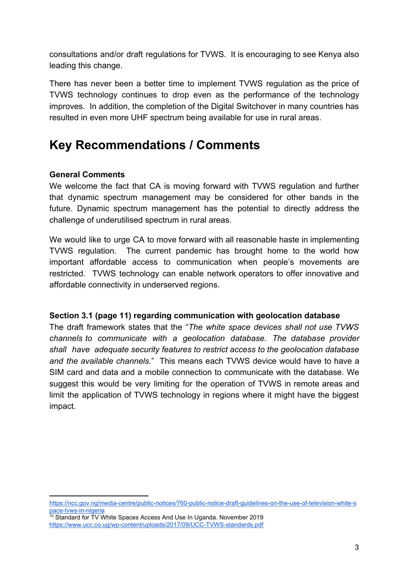consultations and/or draft regulations for TVWS. It is encouraging to see Kenya also leading this change.

There has never been a better time to implement TVWS regulation as the price of TVWS technology continues to drop even as the performance of the technology improves. In addition, the completion of the Digital Switchover in many countries has resulted in even more UHF spectrum being available for use in rural areas.

## <span id="page-3-0"></span>**Key Recommendations / Comments**

#### **General Comments**

We welcome the fact that CA is moving forward with TVWS regulation and further that dynamic spectrum management may be considered for other bands in the future. Dynamic spectrum management has the potential to directly address the challenge of underutilised spectrum in rural areas.

We would like to urge CA to move forward with all reasonable haste in implementing TVWS regulation. The current pandemic has brought home to the world how important affordable access to communication when people's movements are restricted. TVWS technology can enable network operators to offer innovative and affordable connectivity in underserved regions.

#### **Section 3.1 (page 11) regarding communication with geolocation database**

The draft framework states that the "*The white space devices shall not use TVWS channels to communicate with a geolocation database. The database provider shall have adequate security features to restrict access to the geolocation database and the available channels.*" This means each TVWS device would have to have a SIM card and data and a mobile connection to communicate with the database. We suggest this would be very limiting for the operation of TVWS in remote areas and limit the application of TVWS technology in regions where it might have the biggest impact.

[https://ncc.gov.ng/media-centre/public-notices/760-public-notice-draft-guidelines-on-the-use-of-television-white-s](https://ncc.gov.ng/media-centre/public-notices/760-public-notice-draft-guidelines-on-the-use-of-television-white-space-tvws-in-nigeria) [pace-tvws-in-nigeria](https://ncc.gov.ng/media-centre/public-notices/760-public-notice-draft-guidelines-on-the-use-of-television-white-space-tvws-in-nigeria)

<sup>&</sup>lt;sup>10</sup> Standard for TV White Spaces Access And Use In Uganda. November 2019 <https://www.ucc.co.ug/wp-content/uploads/2017/09/UCC-TVWS-standards.pdf>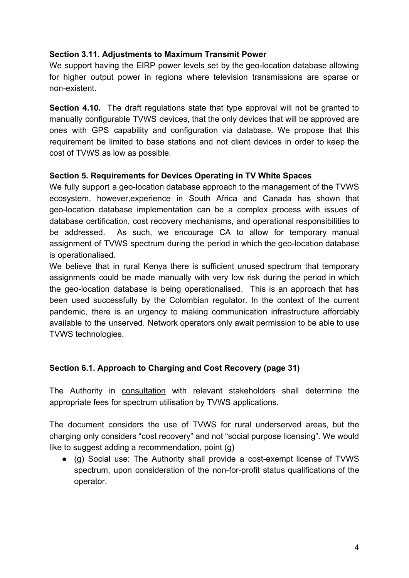#### **Section 3.11. Adjustments to Maximum Transmit Power**

We support having the EIRP power levels set by the geo-location database allowing for higher output power in regions where television transmissions are sparse or non-existent.

**Section 4.10.** The draft regulations state that type approval will not be granted to manually configurable TVWS devices, that the only devices that will be approved are ones with GPS capability and configuration via database. We propose that this requirement be limited to base stations and not client devices in order to keep the cost of TVWS as low as possible.

#### **Section 5. Requirements for Devices Operating in TV White Spaces**

We fully support a geo-location database approach to the management of the TVWS ecosystem, however,experience in South Africa and Canada has shown that geo-location database implementation can be a complex process with issues of database certification, cost recovery mechanisms, and operational responsibilities to be addressed. As such, we encourage CA to allow for temporary manual assignment of TVWS spectrum during the period in which the geo-location database is operationalised.

We believe that in rural Kenya there is sufficient unused spectrum that temporary assignments could be made manually with very low risk during the period in which the geo-location database is being operationalised. This is an approach that has been used successfully by the Colombian regulator. In the context of the current pandemic, there is an urgency to making communication infrastructure affordably available to the unserved. Network operators only await permission to be able to use TVWS technologies.

## **Section 6.1. Approach to Charging and Cost Recovery (page 31)**

The Authority in consultation with relevant stakeholders shall determine the appropriate fees for spectrum utilisation by TVWS applications.

The document considers the use of TVWS for rural underserved areas, but the charging only considers "cost recovery" and not "social purpose licensing". We would like to suggest adding a recommendation, point (g)

● (g) Social use: The Authority shall provide a cost-exempt license of TVWS spectrum, upon consideration of the non-for-profit status qualifications of the operator.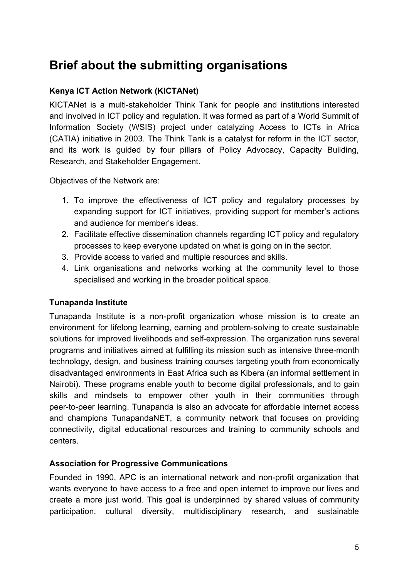## <span id="page-5-0"></span>**Brief about the submitting organisations**

## <span id="page-5-1"></span>**Kenya ICT Action Network (KICTANet)**

KICTANet is a multi-stakeholder Think Tank for people and institutions interested and involved in ICT policy and regulation. It was formed as part of a World Summit of Information Society (WSIS) project under catalyzing Access to ICTs in Africa (CATIA) initiative in 2003. The Think Tank is a catalyst for reform in the ICT sector, and its work is guided by four pillars of Policy Advocacy, Capacity Building, Research, and Stakeholder Engagement.

Objectives of the Network are:

- 1. To improve the effectiveness of ICT policy and regulatory processes by expanding support for ICT initiatives, providing support for member's actions and audience for member's ideas.
- 2. Facilitate effective dissemination channels regarding ICT policy and regulatory processes to keep everyone updated on what is going on in the sector.
- 3. Provide access to varied and multiple resources and skills.
- 4. Link organisations and networks working at the community level to those specialised and working in the broader political space.

## <span id="page-5-2"></span>**Tunapanda Institute**

Tunapanda Institute is a non-profit organization whose mission is to create an environment for lifelong learning, earning and problem-solving to create sustainable solutions for improved livelihoods and self-expression. The organization runs several programs and initiatives aimed at fulfilling its mission such as intensive three-month technology, design, and business training courses targeting youth from economically disadvantaged environments in East Africa such as Kibera (an informal settlement in Nairobi). These programs enable youth to become digital professionals, and to gain skills and mindsets to empower other youth in their communities through peer-to-peer learning. Tunapanda is also an advocate for affordable internet access and champions TunapandaNET, a community network that focuses on providing connectivity, digital educational resources and training to community schools and centers.

## <span id="page-5-3"></span>**Association for Progressive Communications**

Founded in 1990, APC is an international network and non-profit organization that wants everyone to have access to a free and open internet to improve our lives and create a more just world. This goal is underpinned by shared values of community participation, cultural diversity, multidisciplinary research, and sustainable